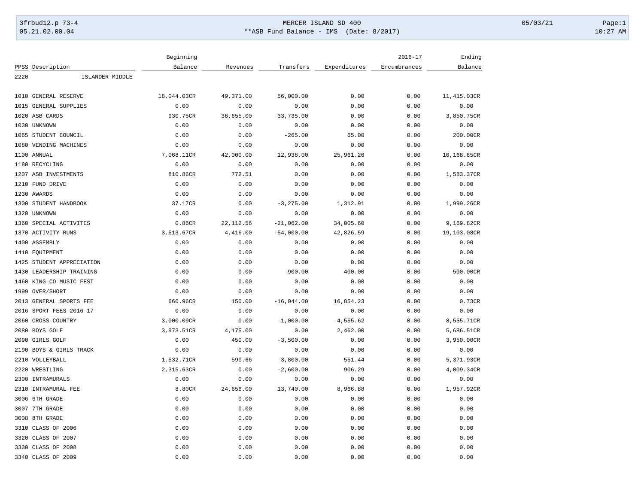## 3frbud12.p 73-4 Page:1 Page:1 05.21.02.00.04 \*\*ASB Fund Balance - IMS (Date: 8/2017) 10:27 AM

|                           | Beginning   |            |              |              | $2016 - 17$  | Ending      |
|---------------------------|-------------|------------|--------------|--------------|--------------|-------------|
| PPSS Description          | Balance     | Revenues   | Transfers    | Expenditures | Encumbrances | Balance     |
| 2220<br>ISLANDER MIDDLE   |             |            |              |              |              |             |
|                           |             |            |              |              |              |             |
| 1010 GENERAL RESERVE      | 18,044.03CR | 49,371.00  | 56,000.00    | 0.00         | 0.00         | 11,415.03CR |
| 1015<br>GENERAL SUPPLIES  | 0.00        | 0.00       | 0.00         | 0.00         | 0.00         | 0.00        |
| 1020 ASB CARDS            | 930.75CR    | 36,655.00  | 33,735.00    | 0.00         | 0.00         | 3,850.75CR  |
| 1030 UNKNOWN              | 0.00        | 0.00       | 0.00         | 0.00         | 0.00         | 0.00        |
| 1065 STUDENT COUNCIL      | 0.00        | 0.00       | $-265.00$    | 65.00        | 0.00         | 200.00CR    |
| 1080 VENDING MACHINES     | 0.00        | 0.00       | 0.00         | 0.00         | 0.00         | 0.00        |
| 1100 ANNUAL               | 7,068.11CR  | 42,000.00  | 12,938.00    | 25,961.26    | 0.00         | 10,168.85CR |
| 1180 RECYCLING            | 0.00        | 0.00       | 0.00         | 0.00         | 0.00         | 0.00        |
| 1207 ASB INVESTMENTS      | 810.86CR    | 772.51     | 0.00         | 0.00         | 0.00         | 1,583.37CR  |
| 1210 FUND DRIVE           | 0.00        | 0.00       | 0.00         | 0.00         | 0.00         | 0.00        |
| 1230 AWARDS               | 0.00        | 0.00       | 0.00         | 0.00         | 0.00         | 0.00        |
| 1300 STUDENT HANDBOOK     | 37.17CR     | 0.00       | $-3, 275.00$ | 1,312.91     | 0.00         | 1,999.26CR  |
| 1320 UNKNOWN              | 0.00        | 0.00       | 0.00         | 0.00         | 0.00         | 0.00        |
| 1360 SPECIAL ACTIVITES    | 0.86CR      | 22, 112.56 | $-21,062.00$ | 34,005.60    | 0.00         | 9,169.82CR  |
| 1370 ACTIVITY RUNS        | 3,513.67CR  | 4,416.00   | $-54,000.00$ | 42,826.59    | 0.00         | 19,103.08CR |
| 1400 ASSEMBLY             | 0.00        | 0.00       | 0.00         | 0.00         | 0.00         | 0.00        |
| 1410 EQUIPMENT            | 0.00        | 0.00       | 0.00         | 0.00         | 0.00         | 0.00        |
| 1425 STUDENT APPRECIATION | 0.00        | 0.00       | 0.00         | 0.00         | 0.00         | 0.00        |
| 1430 LEADERSHIP TRAINING  | 0.00        | 0.00       | $-900.00$    | 400.00       | 0.00         | 500.00CR    |
| 1460 KING CO MUSIC FEST   | 0.00        | 0.00       | 0.00         | 0.00         | 0.00         | 0.00        |
| 1999 OVER/SHORT           | 0.00        | 0.00       | 0.00         | 0.00         | 0.00         | 0.00        |
| 2013 GENERAL SPORTS FEE   | 660.96CR    | 150.00     | $-16,044.00$ | 16,854.23    | 0.00         | 0.73CR      |
| 2016 SPORT FEES 2016-17   | 0.00        | 0.00       | 0.00         | 0.00         | 0.00         | 0.00        |
| 2060 CROSS COUNTRY        | 3,000.09CR  | 0.00       | $-1,000.00$  | $-4, 555.62$ | 0.00         | 8,555.71CR  |
| 2080 BOYS GOLF            | 3,973.51CR  | 4,175.00   | 0.00         | 2,462.00     | 0.00         | 5,686.51CR  |
| 2090 GIRLS GOLF           | 0.00        | 450.00     | $-3,500.00$  | 0.00         | 0.00         | 3,950.00CR  |
| 2190 BOYS & GIRLS TRACK   | 0.00        | 0.00       | 0.00         | 0.00         | 0.00         | 0.00        |
| 2210 VOLLEYBALL           | 1,532.71CR  | 590.66     | $-3,800.00$  | 551.44       | 0.00         | 5,371.93CR  |
| 2220 WRESTLING            | 2,315.63CR  | 0.00       | $-2,600.00$  | 906.29       | 0.00         | 4,009.34CR  |
| 2300 INTRAMURALS          | 0.00        | 0.00       | 0.00         | 0.00         | 0.00         | 0.00        |
| 2310 INTRAMURAL FEE       | 8.80CR      | 24,656.00  | 13,740.00    | 8,966.88     | 0.00         | 1,957.92CR  |
| 3006 6TH GRADE            | 0.00        | 0.00       | 0.00         | 0.00         | 0.00         | 0.00        |
| 3007 7TH GRADE            | 0.00        | 0.00       | 0.00         | 0.00         | 0.00         | 0.00        |
| 3008 8TH GRADE            | 0.00        | 0.00       | 0.00         | 0.00         | 0.00         | 0.00        |
| 3310 CLASS OF 2006        | 0.00        | 0.00       | 0.00         | 0.00         | 0.00         | 0.00        |
| 3320 CLASS OF 2007        | 0.00        | 0.00       | 0.00         | 0.00         | 0.00         | 0.00        |
| 3330 CLASS OF 2008        | 0.00        | 0.00       | 0.00         | 0.00         | 0.00         | 0.00        |
| 3340 CLASS OF 2009        | 0.00        | 0.00       | 0.00         | 0.00         | 0.00         | 0.00        |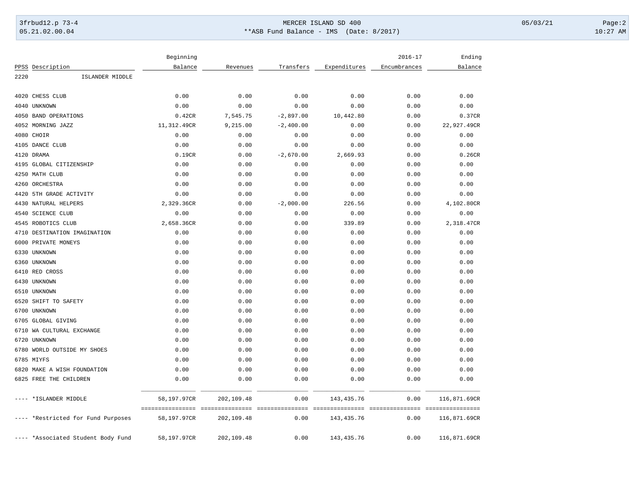## 3frbud12.p 73-4 Page:2 05.21.02.00.04 \*\*ASB Fund Balance - IMS (Date: 8/2017) 10:27 AM

|      |                                    | Beginning   |            |             |              | $2016 - 17$  | Ending                            |
|------|------------------------------------|-------------|------------|-------------|--------------|--------------|-----------------------------------|
|      | PPSS Description                   | Balance     | Revenues   | Transfers   | Expenditures | Encumbrances | Balance                           |
| 2220 | ISLANDER MIDDLE                    |             |            |             |              |              |                                   |
| 4020 | CHESS CLUB                         | 0.00        | 0.00       | 0.00        | 0.00         | 0.00         | 0.00                              |
|      | 4040 UNKNOWN                       | 0.00        | 0.00       | 0.00        | 0.00         | 0.00         | 0.00                              |
|      | 4050 BAND OPERATIONS               | 0.42CR      | 7,545.75   | $-2,897.00$ | 10,442.80    | 0.00         | 0.37CR                            |
|      | 4052 MORNING JAZZ                  | 11,312.49CR | 9,215.00   | $-2,400.00$ | 0.00         | 0.00         | 22,927.49CR                       |
|      | 4080 CHOIR                         | 0.00        | 0.00       | 0.00        | 0.00         | 0.00         | 0.00                              |
|      | 4105 DANCE CLUB                    | 0.00        | 0.00       | 0.00        | 0.00         | 0.00         | 0.00                              |
|      | 4120 DRAMA                         | 0.19CR      | 0.00       | $-2,670.00$ | 2,669.93     | 0.00         | 0.26CR                            |
|      | 4195 GLOBAL CITIZENSHIP            | 0.00        | 0.00       | 0.00        | 0.00         | 0.00         | 0.00                              |
|      | 4250 MATH CLUB                     | 0.00        | 0.00       | 0.00        | 0.00         | 0.00         | 0.00                              |
|      | 4260 ORCHESTRA                     | 0.00        | 0.00       | 0.00        | 0.00         | 0.00         | 0.00                              |
| 4420 | 5TH GRADE ACTIVITY                 | 0.00        | 0.00       | 0.00        | 0.00         | 0.00         | 0.00                              |
|      | 4430 NATURAL HELPERS               | 2,329.36CR  | 0.00       | $-2,000.00$ | 226.56       | 0.00         | 4,102.80CR                        |
| 4540 | <b>SCIENCE CLUB</b>                | 0.00        | 0.00       | 0.00        | 0.00         | 0.00         | 0.00                              |
|      | 4545 ROBOTICS CLUB                 | 2,658.36CR  | 0.00       | 0.00        | 339.89       | 0.00         | 2,318.47CR                        |
| 4710 | DESTINATION IMAGINATION            | 0.00        | 0.00       | 0.00        | 0.00         | 0.00         | 0.00                              |
|      | 6000 PRIVATE MONEYS                | 0.00        | 0.00       | 0.00        | 0.00         | 0.00         | 0.00                              |
|      | 6330 UNKNOWN                       | 0.00        | 0.00       | 0.00        | 0.00         | 0.00         | 0.00                              |
|      | 6360 UNKNOWN                       | 0.00        | 0.00       | 0.00        | 0.00         | 0.00         | 0.00                              |
|      | 6410 RED CROSS                     | 0.00        | 0.00       | 0.00        | 0.00         | 0.00         | 0.00                              |
|      | 6430 UNKNOWN                       | 0.00        | 0.00       | 0.00        | 0.00         | 0.00         | 0.00                              |
|      | 6510 UNKNOWN                       | 0.00        | 0.00       | 0.00        | 0.00         | 0.00         | 0.00                              |
| 6520 | SHIFT TO SAFETY                    | 0.00        | 0.00       | 0.00        | 0.00         | 0.00         | 0.00                              |
|      | 6700 UNKNOWN                       | 0.00        | 0.00       | 0.00        | 0.00         | 0.00         | 0.00                              |
| 6705 | <b>GLOBAL GIVING</b>               | 0.00        | 0.00       | 0.00        | 0.00         | 0.00         | 0.00                              |
|      | 6710 WA CULTURAL EXCHANGE          | 0.00        | 0.00       | 0.00        | 0.00         | 0.00         | 0.00                              |
|      | 6720 UNKNOWN                       | 0.00        | 0.00       | 0.00        | 0.00         | 0.00         | 0.00                              |
|      | 6780 WORLD OUTSIDE MY SHOES        | 0.00        | 0.00       | 0.00        | 0.00         | 0.00         | 0.00                              |
|      | 6785 MIYFS                         | 0.00        | 0.00       | 0.00        | 0.00         | 0.00         | 0.00                              |
|      | 6820 MAKE A WISH FOUNDATION        | 0.00        | 0.00       | 0.00        | 0.00         | 0.00         | 0.00                              |
|      | 6825 FREE THE CHILDREN             | 0.00        | 0.00       | 0.00        | 0.00         | 0.00         | 0.00                              |
|      | *ISLANDER MIDDLE                   | 58,197.97CR | 202,109.48 | 0.00        | 143, 435.76  | 0.00         | 116,871.69CR                      |
|      |                                    |             |            |             |              |              | --------------------------------- |
|      | *Restricted for Fund Purposes      | 58,197.97CR | 202,109.48 | 0.00        | 143, 435.76  | 0.00         | 116,871.69CR                      |
|      | ---- *Associated Student Body Fund | 58,197.97CR | 202,109.48 | 0.00        | 143, 435. 76 | 0.00         | 116,871.69CR                      |